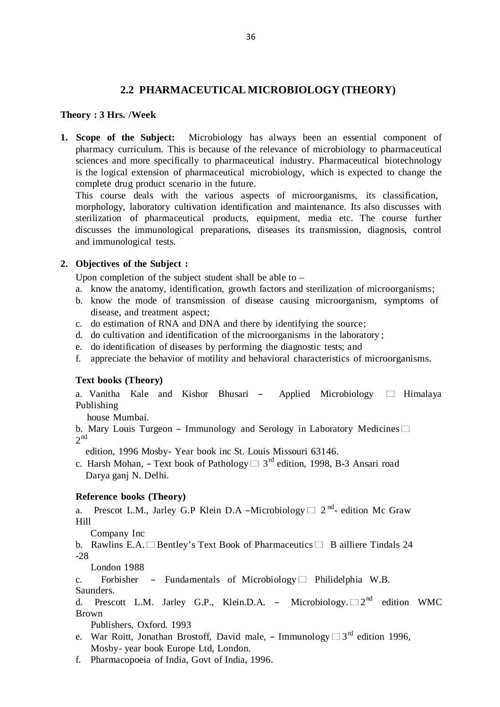# **2.2 PHARMACEUTICAL MICROBIOLOGY (THEORY)**

### **Theory : 3 Hrs. /Week**

**1. Scope of the Subject:** Microbiology has always been an essential component of pharmacy curriculum. This is because of the relevance of microbiology to pharmaceutical sciences and more specifically to pharmaceutical industry. Pharmaceutical biotechnology is the logical extension of pharmaceutical microbiology, which is expected to change the complete drug product scenario in the future.

This course deals with the various aspects of microorganisms, its classification, morphology, laboratory cultivation identification and maintenance. Its also discusses with sterilization of pharmaceutical products, equipment, media etc. The course further discusses the immunological preparations, diseases its transmission, diagnosis, control and immunological tests.

### **2. Objectives of the Subject :**

Upon completion of the subject student shall be able to –

- a. know the anatomy, identification, growth factors and sterilization of microorganisms;
- b. know the mode of transmission of disease causing microorganism, symptoms of disease, and treatment aspect;
- c. do estimation of RNA and DNA and there by identifying the source;
- d. do cultivation and identification of the microorganisms in the laboratory ;
- e. do identification of diseases by performing the diagnostic tests; and
- f. appreciate the behavior of motility and behavioral characteristics of microorganisms.

# **Text books (Theory)**

a. Vanitha Kale and Kishor Bhusari – Applied Microbiology  $\Box$  Himalaya Publishing

house Mumbai.

nouse Mumbai.<br>**b. Mary Louis Turgeon – Immunology and Serology in Laboratory Medicines**□  $2<sup>nd</sup>$ 

edition, 1996 Mosby- Year book inc St. Louis Missouri 63146.

edition, 1990 Mosby- Tear book file St. Louis Missouri 05140.<br>c. Harsh Mohan, – Text book of Pathology  $\Box$  3<sup>rd</sup> edition, 1998, B-3 Ansari road Darya ganj N. Delhi.

### **Reference books (Theory)**

a. Prescot L.M., Jarley G.P Klein D.A –Microbiology  $\square$  2<sup>nd</sup>- edition Mc Graw Hill

Company Inc

Company inc<br>
b. Rawlins E.A. □ Bentley's Text Book of Pharmaceutics □ B ailliere Tindals 24 -28

London 1988

c. Forbisher ― Fundamentals of Microbiology- Philidelphia W.B. Saunders.

saunders.<br>d. Prescott L.M. Jarley G.P., Klein.D.A. – Microbiology.□2<sup>nd</sup> edition WMC Brown

Publishers, Oxford. 1993

- PUDIISHETS, OXIOLG. 1995<br>
e. War Roitt, Jonathan Brostoff, David male, Immunology  $\square 3^{rd}$  edition 1996, Mosby- year book Europe Ltd, London.
- f. Pharmacopoeia of India, Govt of India, 1996.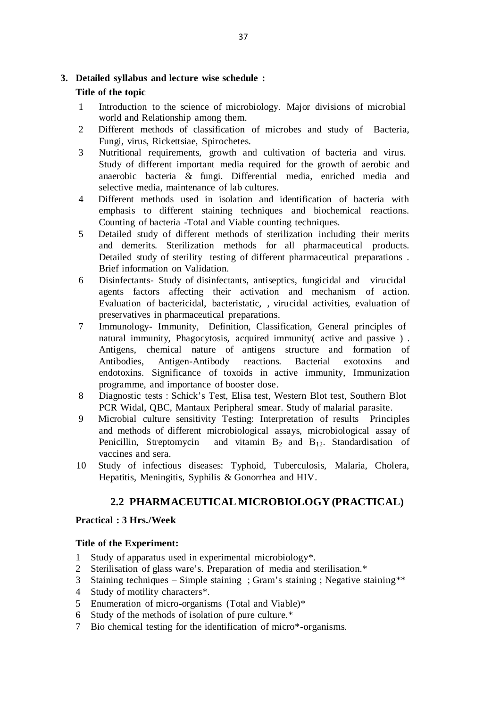# **3. Detailed syllabus and lecture wise schedule :**

# **Title of the topic**

- 1 Introduction to the science of microbiology. Major divisions of microbial world and Relationship among them.
- 2 Different methods of classification of microbes and study of Bacteria, Fungi, virus, Rickettsiae, Spirochetes.
- 3 Nutritional requirements, growth and cultivation of bacteria and virus. Study of different important media required for the growth of aerobic and anaerobic bacteria & fungi. Differential media, enriched media and selective media, maintenance of lab cultures.
- 4 Different methods used in isolation and identification of bacteria with emphasis to different staining techniques and biochemical reactions. Counting of bacteria -Total and Viable counting techniques.
- 5 Detailed study of different methods of sterilization including their merits and demerits. Sterilization methods for all pharmaceutical products. Detailed study of sterility testing of different pharmaceutical preparations . Brief information on Validation.
- 6 Disinfectants- Study of disinfectants, antiseptics, fungicidal and virucidal agents factors affecting their activation and mechanism of action. Evaluation of bactericidal, bacteristatic, , virucidal activities, evaluation of preservatives in pharmaceutical preparations.
- 7 Immunology- Immunity, Definition, Classification, General principles of natural immunity, Phagocytosis, acquired immunity( active and passive ) . Antigens, chemical nature of antigens structure and formation of Antibodies, Antigen-Antibody reactions. Bacterial exotoxins and endotoxins. Significance of toxoids in active immunity, Immunization programme, and importance of booster dose.
- 8 Diagnostic tests : Schick's Test, Elisa test, Western Blot test, Southern Blot PCR Widal, QBC, Mantaux Peripheral smear. Study of malarial parasite.
- 9 Microbial culture sensitivity Testing: Interpretation of results Principles and methods of different microbiological assays, microbiological assay of Penicillin, Streptomycin and vitamin  $B_2$  and  $B_{12}$ . Standardisation of vaccines and sera.
- 10 Study of infectious diseases: Typhoid, Tuberculosis, Malaria, Cholera, Hepatitis, Meningitis, Syphilis & Gonorrhea and HIV.

# **2.2 PHARMACEUTICAL MICROBIOLOGY (PRACTICAL)**

# **Practical : 3 Hrs./Week**

# **Title of the Experiment:**

- 1 Study of apparatus used in experimental microbiology\*.
- 2 Sterilisation of glass ware's. Preparation of media and sterilisation.\*
- 3 Staining techniques Simple staining ; Gram's staining ; Negative staining\*\*
- 4 Study of motility characters\*.
- 5 Enumeration of micro-organisms (Total and Viable)\*
- 6 Study of the methods of isolation of pure culture.\*
- 7 Bio chemical testing for the identification of micro\*-organisms.